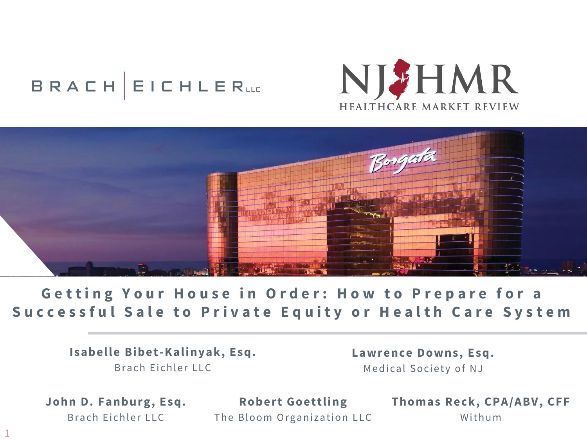# **BRACH EICHLERLLE**





**Getting Your House in Order: How to Prepare for a Successful Sale to Private Equity or Health Care System** 

> **Isabelle Bibet-Kalinyak, Esq.** Brach Eichler LLC

**Lawrence Downs, Esq.** Medical Society of NJ

John D. Fanburg, Esq. Brach Eichler LLC

1

**R obert Goettling** The Bloom Organization LLC **Thomas Reck, CPA/ABV, CFF** Withum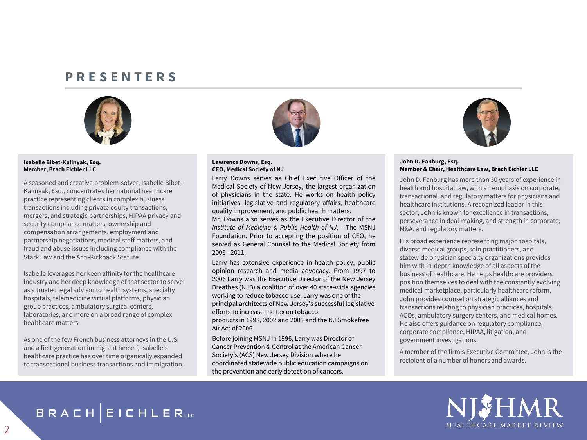## **P R E S E N T E R S**



#### **Isabelle Bibet-Kalinyak, Esq. Member, Brach Eichler LLC**

A seasoned and creative problem-solver, Isabelle Bibet-Kalinyak, Esq., concentrates her national healthcare practice representing clients in complex business transactions including private equity transactions, mergers, and strategic partnerships, HIPAA privacy and security compliance matters, ownership and compensation arrangements, employment and partnership negotiations, medical staff matters, and fraud and abuse issues including compliance with the Stark Law and the Anti-Kickback Statute.

Isabelle leverages her keen affinity for the healthcare industry and her deep knowledge of that sector to serve as a trusted legal advisor to health systems, specialty hospitals, telemedicine virtual platforms, physician group practices, ambulatory surgical centers, laboratories, and more on a broad range of complex healthcare matters.

As one of the few French business attorneys in the U.S. and a first-generation immigrant herself, Isabelle's healthcare practice has over time organically expanded to transnational business transactions and immigration.



#### **Lawrence Downs, Esq. CEO, Medical Society of NJ**

Larry Downs serves as Chief Executive Officer of the Medical Society of New Jersey, the largest organization of physicians in the state. He works on health policy initiatives, legislative and regulatory affairs, healthcare quality improvement, and public health matters.

Mr. Downs also serves as the Executive Director of the *Institute of Medicine & Public Health of NJ*, - The MSNJ Foundation. Prior to accepting the position of CEO, he served as General Counsel to the Medical Society from 2006 - 2011.

Larry has extensive experience in health policy, public opinion research and media advocacy. From 1997 to 2006 Larry was the Executive Director of the New Jersey Breathes (NJB) a coalition of over 40 state-wide agencies working to reduce tobacco use. Larry was one of the principal architects of New Jersey's successful legislative efforts to increase the tax on tobacco products in 1998, 2002 and 2003 and the NJ Smokefree Air Act of 2006.

Before joining MSNJ in 1996, Larry was Director of Cancer Prevention & Control at the American Cancer Society's (ACS) New Jersey Division where he coordinated statewide public education campaigns on the prevention and early detection of cancers.



#### **John D. Fanburg, Esq. Member & Chair, Healthcare Law, Brach Eichler LLC**

John D. Fanburg has more than 30 years of experience in health and hospital law, with an emphasis on corporate, transactional, and regulatory matters for physicians and healthcare institutions. A recognized leader in this sector, John is known for excellence in transactions, perseverance in deal-making, and strength in corporate, M&A, and regulatory matters.

His broad experience representing major hospitals, diverse medical groups, solo practitioners, and statewide physician specialty organizations provides him with in-depth knowledge of all aspects of the business of healthcare. He helps healthcare providers position themselves to deal with the constantly evolving medical marketplace, particularly healthcare reform. John provides counsel on strategic alliances and transactions relating to physician practices, hospitals, ACOs, ambulatory surgery centers, and medical homes. He also offers guidance on regulatory compliance, corporate compliance, HIPAA, litigation, and government investigations.

A member of the firm's Executive Committee, John is the recipient of a number of honors and awards.

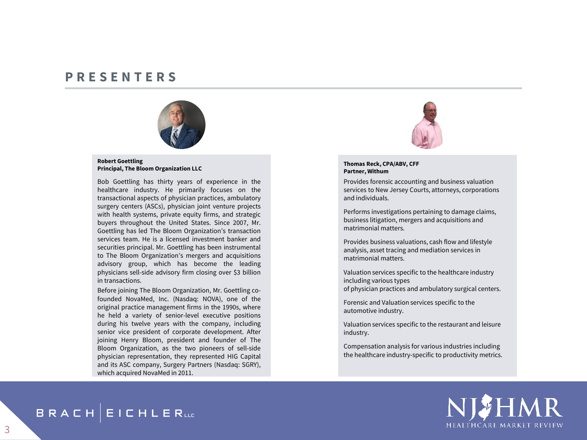### **P R E S E N T E R S**



#### **Robert Goettling Principal, The Bloom Organization LLC**

Bob Goettling has thirty years of experience in the healthcare industry. He primarily focuses on the transactional aspects of physician practices, ambulatory surgery centers (ASCs), physician joint venture projects with health systems, private equity firms, and strategic buyers throughout the United States. Since 2007, Mr. Goettling has led The Bloom Organization's transaction services team. He is a licensed investment banker and securities principal. Mr. Goettling has been instrumental to The Bloom Organization's mergers and acquisitions advisory group, which has become the leading physicians sell-side advisory firm closing over \$3 billion in transactions.

Before joining The Bloom Organization, Mr. Goettling cofounded NovaMed, Inc. (Nasdaq: NOVA), one of the original practice management firms in the 1990s, where he held a variety of senior-level executive positions during his twelve years with the company, including senior vice president of corporate development. After joining Henry Bloom, president and founder of The Bloom Organization, as the two pioneers of sell-side physician representation, they represented HIG Capital and its ASC company, Surgery Partners (Nasdaq: SGRY), which acquired NovaMed in 2011.



#### **Thomas Reck, CPA/ABV, CFF Partner, Withum**

Provides forensic accounting and business valuation services to New Jersey Courts, attorneys, corporations and individuals.

Performs investigations pertaining to damage claims, business litigation, mergers and acquisitions and matrimonial matters.

Provides business valuations, cash flow and lifestyle analysis, asset tracing and mediation services in matrimonial matters.

Valuation services specific to the healthcare industry including various types of physician practices and ambulatory surgical centers.

Forensic and Valuation services specific to the automotive industry.

Valuation services specific to the restaurant and leisure industry.

Compensation analysis for various industries including the healthcare industry-specific to productivity metrics.



**BRACH EICHLERLLE**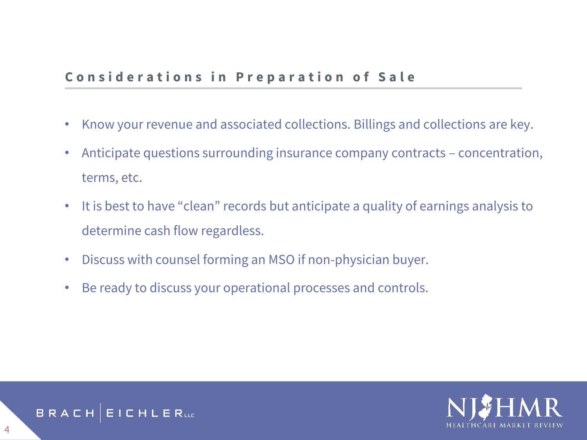# **Considerations in Preparation of Sale**

- Know your revenue and associated collections. Billings and collections are key.
- Anticipate questions surrounding insurance company contracts concentration, terms, etc.
- It is best to have "clean" records but anticipate a quality of earnings analysis to determine cash flow regardless.
- Discuss with counsel forming an MSO if non-physician buyer.
- Be ready to discuss your operational processes and controls.

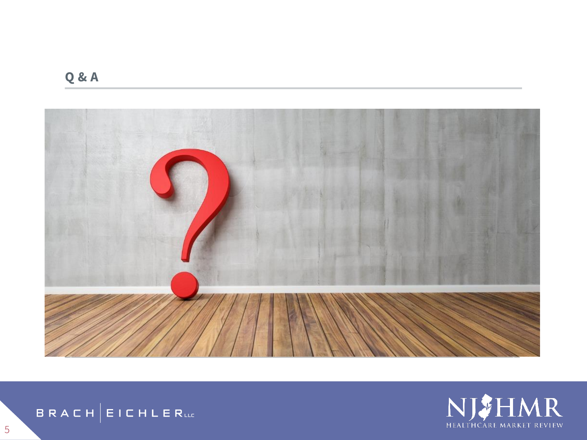**Q & A**







5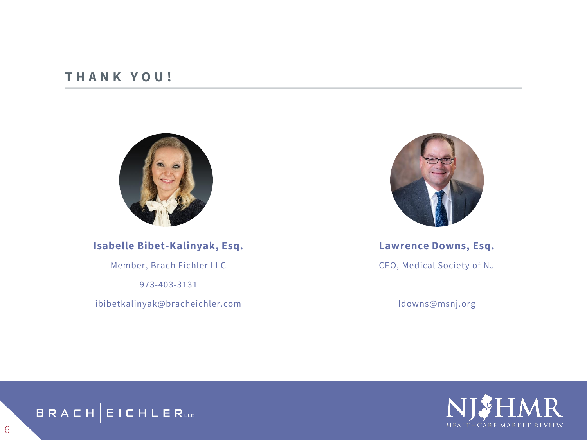## **T H A N K Y O U !**



**Isabelle Bibet-Kalinyak, Esq.**

Member, Brach Eichler LLC

973-403-3131

ibibetkalinyak@bracheichler.com



**Lawrence Downs, Esq.** CEO, Medical Society of NJ

ldowns@msnj.org





6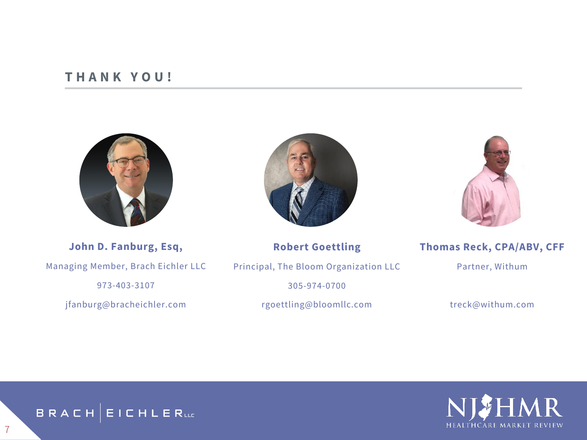## **T H A N K Y O U !**





**John D. Fanburg, Esq,** Managing Member, Brach Eichler LLC 973-403-3107

jfanburg@bracheichler.com

### **Robert Goettling**

Principal, The Bloom Organization LLC

305-974-0700

rgoettling@bloomllc.com

### **Thomas Reck, CPA/ABV, CFF**

Partner, Withum

treck@withum.com





7